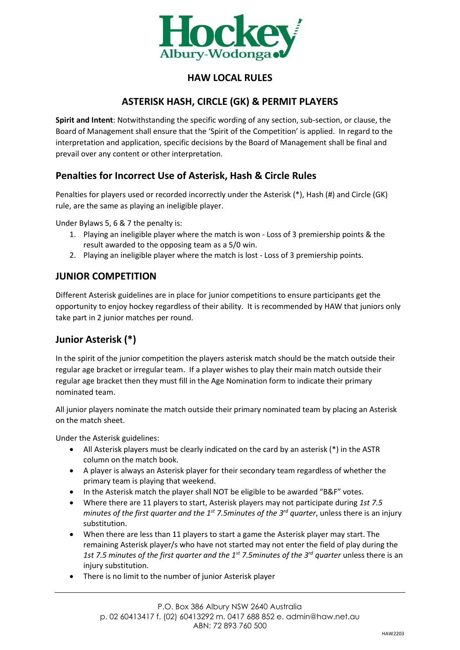

# **HAW LOCAL RULES**

## **ASTERISK HASH, CIRCLE (GK) & PERMIT PLAYERS**

**Spirit and Intent**: Notwithstanding the specific wording of any section, sub-section, or clause, the Board of Management shall ensure that the 'Spirit of the Competition' is applied. In regard to the interpretation and application, specific decisions by the Board of Management shall be final and prevail over any content or other interpretation.

## **Penalties for Incorrect Use of Asterisk, Hash & Circle Rules**

Penalties for players used or recorded incorrectly under the Asterisk (\*), Hash (#) and Circle (GK) rule, are the same as playing an ineligible player.

Under Bylaws 5, 6 & 7 the penalty is:

- 1. Playing an ineligible player where the match is won Loss of 3 premiership points & the result awarded to the opposing team as a 5/0 win.
- 2. Playing an ineligible player where the match is lost Loss of 3 premiership points.

### **JUNIOR COMPETITION**

Different Asterisk guidelines are in place for junior competitions to ensure participants get the opportunity to enjoy hockey regardless of their ability. It is recommended by HAW that juniors only take part in 2 junior matches per round.

# **Junior Asterisk (\*)**

In the spirit of the junior competition the players asterisk match should be the match outside their regular age bracket or irregular team. If a player wishes to play their main match outside their regular age bracket then they must fill in the Age Nomination form to indicate their primary nominated team.

All junior players nominate the match outside their primary nominated team by placing an Asterisk on the match sheet.

Under the Asterisk guidelines:

- All Asterisk players must be clearly indicated on the card by an asterisk (\*) in the ASTR column on the match book.
- A player is always an Asterisk player for their secondary team regardless of whether the primary team is playing that weekend.
- In the Asterisk match the player shall NOT be eligible to be awarded "B&F" votes.
- Where there are 11 players to start, Asterisk players may not participate during *1st 7.5 minutes of the first quarter and the 1st 7.5minutes of the 3rd quarter*, unless there is an injury substitution.
- When there are less than 11 players to start a game the Asterisk player may start. The remaining Asterisk player/s who have not started may not enter the field of play during the *1st 7.5 minutes of the first quarter and the 1st 7.5minutes of the 3rd quarter* unless there is an injury substitution.
- There is no limit to the number of junior Asterisk player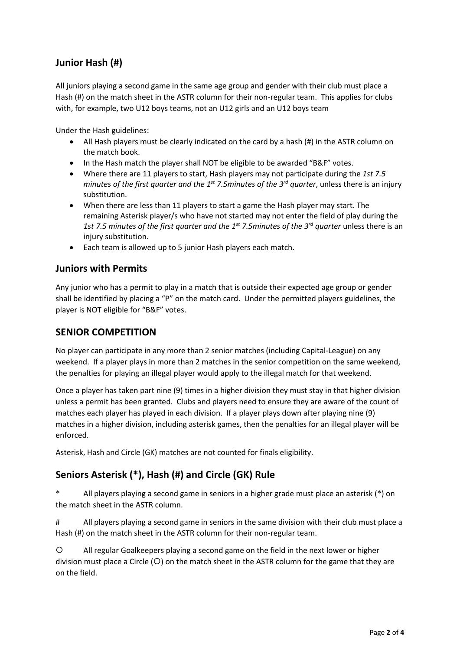# **Junior Hash (#)**

All juniors playing a second game in the same age group and gender with their club must place a Hash (#) on the match sheet in the ASTR column for their non-regular team. This applies for clubs with, for example, two U12 boys teams, not an U12 girls and an U12 boys team

Under the Hash guidelines:

- All Hash players must be clearly indicated on the card by a hash (#) in the ASTR column on the match book.
- In the Hash match the player shall NOT be eligible to be awarded "B&F" votes.
- Where there are 11 players to start, Hash players may not participate during the *1st 7.5 minutes of the first quarter and the 1st 7.5minutes of the 3rd quarter*, unless there is an injury substitution.
- When there are less than 11 players to start a game the Hash player may start. The remaining Asterisk player/s who have not started may not enter the field of play during the *1st 7.5 minutes of the first quarter and the 1st 7.5minutes of the 3rd quarter* unless there is an injury substitution.
- Each team is allowed up to 5 junior Hash players each match.

#### **Juniors with Permits**

Any junior who has a permit to play in a match that is outside their expected age group or gender shall be identified by placing a "P" on the match card. Under the permitted players guidelines, the player is NOT eligible for "B&F" votes.

#### **SENIOR COMPETITION**

No player can participate in any more than 2 senior matches (including Capital-League) on any weekend. If a player plays in more than 2 matches in the senior competition on the same weekend, the penalties for playing an illegal player would apply to the illegal match for that weekend.

Once a player has taken part nine (9) times in a higher division they must stay in that higher division unless a permit has been granted. Clubs and players need to ensure they are aware of the count of matches each player has played in each division. If a player plays down after playing nine (9) matches in a higher division, including asterisk games, then the penalties for an illegal player will be enforced.

Asterisk, Hash and Circle (GK) matches are not counted for finals eligibility.

### **Seniors Asterisk (\*), Hash (#) and Circle (GK) Rule**

All players playing a second game in seniors in a higher grade must place an asterisk (\*) on the match sheet in the ASTR column.

# All players playing a second game in seniors in the same division with their club must place a Hash (#) on the match sheet in the ASTR column for their non-regular team.

 All regular Goalkeepers playing a second game on the field in the next lower or higher division must place a Circle  $(O)$  on the match sheet in the ASTR column for the game that they are on the field.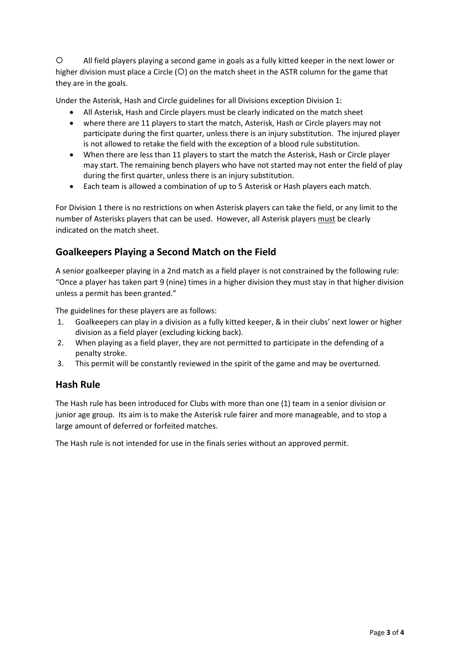All field players playing a second game in goals as a fully kitted keeper in the next lower or higher division must place a Circle ( $O$ ) on the match sheet in the ASTR column for the game that they are in the goals.

Under the Asterisk, Hash and Circle guidelines for all Divisions exception Division 1:

- All Asterisk, Hash and Circle players must be clearly indicated on the match sheet
- where there are 11 players to start the match, Asterisk, Hash or Circle players may not participate during the first quarter, unless there is an injury substitution. The injured player is not allowed to retake the field with the exception of a blood rule substitution.
- When there are less than 11 players to start the match the Asterisk, Hash or Circle player may start. The remaining bench players who have not started may not enter the field of play during the first quarter, unless there is an injury substitution.
- Each team is allowed a combination of up to 5 Asterisk or Hash players each match.

For Division 1 there is no restrictions on when Asterisk players can take the field, or any limit to the number of Asterisks players that can be used. However, all Asterisk players must be clearly indicated on the match sheet.

### **Goalkeepers Playing a Second Match on the Field**

A senior goalkeeper playing in a 2nd match as a field player is not constrained by the following rule: "Once a player has taken part 9 (nine) times in a higher division they must stay in that higher division unless a permit has been granted."

The guidelines for these players are as follows:

- 1. Goalkeepers can play in a division as a fully kitted keeper, & in their clubs' next lower or higher division as a field player (excluding kicking back).
- 2. When playing as a field player, they are not permitted to participate in the defending of a penalty stroke.
- 3. This permit will be constantly reviewed in the spirit of the game and may be overturned.

### **Hash Rule**

The Hash rule has been introduced for Clubs with more than one (1) team in a senior division or junior age group. Its aim is to make the Asterisk rule fairer and more manageable, and to stop a large amount of deferred or forfeited matches.

The Hash rule is not intended for use in the finals series without an approved permit.